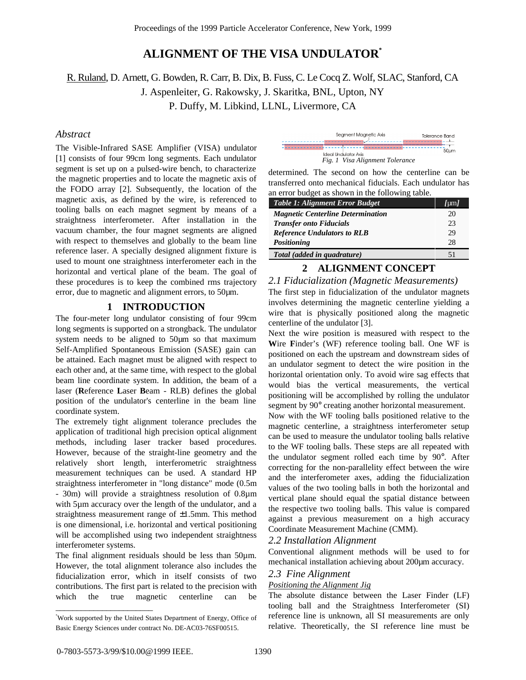# **ALIGNMENT OF THE VISA UNDULATOR\***

R. Ruland, D. Arnett, G. Bowden, R. Carr, B. Dix, B. Fuss, C. Le Cocq Z. Wolf, SLAC, Stanford, CA

J. Aspenleiter, G. Rakowsky, J. Skaritka, BNL, Upton, NY

P. Duffy, M. Libkind, LLNL, Livermore, CA

## *Abstract*

The Visible-Infrared SASE Amplifier (VISA) undulator [1] consists of four 99cm long segments. Each undulator segment is set up on a pulsed-wire bench, to characterize the magnetic properties and to locate the magnetic axis of the FODO array [2]. Subsequently, the location of the magnetic axis, as defined by the wire, is referenced to tooling balls on each magnet segment by means of a straightness interferometer. After installation in the vacuum chamber, the four magnet segments are aligned with respect to themselves and globally to the beam line reference laser. A specially designed alignment fixture is used to mount one straightness interferometer each in the horizontal and vertical plane of the beam. The goal of these procedures is to keep the combined rms trajectory error, due to magnetic and alignment errors, to 50µm.

## **1 INTRODUCTION**

The four-meter long undulator consisting of four 99cm long segments is supported on a strongback. The undulator system needs to be aligned to 50µm so that maximum Self-Amplified Spontaneous Emission (SASE) gain can be attained. Each magnet must be aligned with respect to each other and, at the same time, with respect to the global beam line coordinate system. In addition, the beam of a laser (**R**eference **L**aser **B**eam - RLB) defines the global position of the undulator's centerline in the beam line coordinate system.

The extremely tight alignment tolerance precludes the application of traditional high precision optical alignment methods, including laser tracker based procedures. However, because of the straight-line geometry and the relatively short length, interferometric straightness measurement techniques can be used. A standard HP straightness interferometer in "long distance" mode (0.5m - 30m) will provide a straightness resolution of 0.8µm with 5µm accuracy over the length of the undulator, and a straightness measurement range of  $\pm 1.5$ mm. This method is one dimensional, i.e. horizontal and vertical positioning will be accomplished using two independent straightness interferometer systems.

The final alignment residuals should be less than 50 $\mu$ m. However, the total alignment tolerance also includes the fiducialization error, which in itself consists of two contributions. The first part is related to the precision with which the true magnetic centerline can be

| Seament Maanetic Axis |                      |                                 | <b>Tolerance Banc</b> |
|-----------------------|----------------------|---------------------------------|-----------------------|
|                       | Ideal Undulator Axis |                                 | 50um                  |
|                       |                      | Fig. 1 Visa Alignment Tolerance |                       |

determined. The second on how the centerline can be transferred onto mechanical fiducials. Each undulator has an error budget as shown in the following table.

| <b>Table 1: Alignment Error Budget</b>   | /um/ |
|------------------------------------------|------|
| <b>Magnetic Centerline Determination</b> | 20   |
| <b>Transfer onto Fiducials</b>           | 23   |
| <b>Reference Undulators to RLB</b>       | 29   |
| Positioning                              | 28   |
| Total (added in quadrature)              | 51   |

# **2 ALIGNMENT CONCEPT**

*2.1 Fiducialization (Magnetic Measurements)* The first step in fiducialization of the undulator magnets

involves determining the magnetic centerline yielding a wire that is physically positioned along the magnetic centerline of the undulator [3].

Next the wire position is measured with respect to the **W**ire **F**inder's (WF) reference tooling ball. One WF is positioned on each the upstream and downstream sides of an undulator segment to detect the wire position in the horizontal orientation only. To avoid wire sag effects that would bias the vertical measurements, the vertical positioning will be accomplished by rolling the undulator segment by 90° creating another horizontal measurement.

Now with the WF tooling balls positioned relative to the magnetic centerline, a straightness interferometer setup can be used to measure the undulator tooling balls relative to the WF tooling balls. These steps are all repeated with the undulator segment rolled each time by 90°. After correcting for the non-parallelity effect between the wire and the interferometer axes, adding the fiducialization values of the two tooling balls in both the horizontal and vertical plane should equal the spatial distance between the respective two tooling balls. This value is compared against a previous measurement on a high accuracy Coordinate Measurement Machine (CMM).

#### *2.2 Installation Alignment*

Conventional alignment methods will be used to for mechanical installation achieving about 200µm accuracy.

#### *2.3 Fine Alignment*

#### *Positioning the Alignment Jig*

The absolute distance between the Laser Finder (LF) tooling ball and the Straightness Interferometer (SI) reference line is unknown, all SI measurements are only relative. Theoretically, the SI reference line must be

\_\_\_\_\_\_\_\_\_\_\_\_\_\_\_\_\_\_\_\_\_\_\_

<sup>\*</sup> Work supported by the United States Department of Energy, Office of Basic Energy Sciences under contract No. DE-AC03-76SF00515.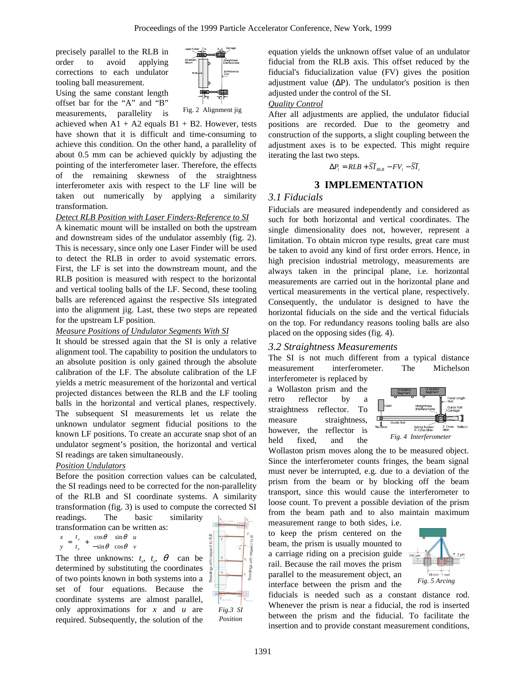precisely parallel to the RLB in order to avoid applying corrections to each undulator tooling ball measurement.

Using the same constant length offset bar for the "A" and "B" measurements, parallelity is



achieved when  $A1 + A2$  equals  $B1 + B2$ . However, tests have shown that it is difficult and time-consuming to achieve this condition. On the other hand, a parallelity of about 0.5 mm can be achieved quickly by adjusting the pointing of the interferometer laser. Therefore, the effects of the remaining skewness of the straightness interferometer axis with respect to the LF line will be taken out numerically by applying a similarity transformation.

### *Detect RLB Position with Laser Finders-Reference to SI*

A kinematic mount will be installed on both the upstream and downstream sides of the undulator assembly (fig. 2). This is necessary, since only one Laser Finder will be used to detect the RLB in order to avoid systematic errors. First, the LF is set into the downstream mount, and the RLB position is measured with respect to the horizontal and vertical tooling balls of the LF. Second, these tooling balls are referenced against the respective SIs integrated into the alignment jig. Last, these two steps are repeated for the upstream LF position.

### *Measure Positions of Undulator Segments With SI*

It should be stressed again that the SI is only a relative alignment tool. The capability to position the undulators to an absolute position is only gained through the absolute calibration of the LF. The absolute calibration of the LF yields a metric measurement of the horizontal and vertical projected distances between the RLB and the LF tooling balls in the horizontal and vertical planes, respectively. The subsequent SI measurements let us relate the unknown undulator segment fiducial positions to the known LF positions. To create an accurate snap shot of an undulator segment's position, the horizontal and vertical SI readings are taken simultaneously.

### *Position Undulators*

Before the position correction values can be calculated, the SI readings need to be corrected for the non-parallelity of the RLB and SI coordinate systems. A similarity transformation (fig. 3) is used to compute the corrected SI readings. The basic similarity

transformation can be written as:

$$
\begin{pmatrix} x \\ y \end{pmatrix} = \begin{pmatrix} t_x \\ t_y \end{pmatrix} + \begin{pmatrix} \cos \theta & \sin \theta \\ -\sin \theta & \cos \theta \end{pmatrix} \begin{pmatrix} u \\ v \end{pmatrix}
$$

The three unknowns:  $t_x$ ,  $t_y$ ,  $\theta$  can be determined by substituting the coordinates of two points known in both systems into a set of four equations. Because the coordinate systems are almost parallel, only approximations for *x* and *u* are required. Subsequently, the solution of the



equation yields the unknown offset value of an undulator fiducial from the RLB axis. This offset reduced by the fiducial's fiducialization value (FV) gives the position adjustment value  $(\Delta P)$ . The undulator's position is then adjusted under the control of the SI.

#### *Quality Control*

After all adjustments are applied, the undulator fiducial positions are recorded. Due to the geometry and construction of the supports, a slight coupling between the adjustment axes is to be expected. This might require iterating the last two steps.

$$
\Delta P_i = RLB + \overline{SI}_{RLB} - FV_i - \overline{SI}_i
$$

# **3 IMPLEMENTATION**

## *3.1 Fiducials*

Fiducials are measured independently and considered as such for both horizontal and vertical coordinates. The single dimensionality does not, however, represent a limitation. To obtain micron type results, great care must be taken to avoid any kind of first order errors. Hence, in high precision industrial metrology, measurements are always taken in the principal plane, i.e. horizontal measurements are carried out in the horizontal plane and vertical measurements in the vertical plane, respectively. Consequently, the undulator is designed to have the horizontal fiducials on the side and the vertical fiducials on the top. For redundancy reasons tooling balls are also placed on the opposing sides (fig. 4).

### *3.2 Straightness Measurements*

The SI is not much different from a typical distance measurement interferometer. The Michelson

interferometer is replaced by a Wollaston prism and the retro reflector by a straightness reflector. To measure straightness, however, the reflector is held fixed, and the



Wollaston prism moves along the to be measured object. Since the interferometer counts fringes, the beam signal must never be interrupted, e.g. due to a deviation of the prism from the beam or by blocking off the beam transport, since this would cause the interferometer to loose count. To prevent a possible deviation of the prism from the beam path and to also maintain maximum

measurement range to both sides, i.e. to keep the prism centered on the beam, the prism is usually mounted to a carriage riding on a precision guide rail. Because the rail moves the prism parallel to the measurement object, an interface between the prism and the



fiducials is needed such as a constant distance rod. Whenever the prism is near a fiducial, the rod is inserted between the prism and the fiducial. To facilitate the insertion and to provide constant measurement conditions,